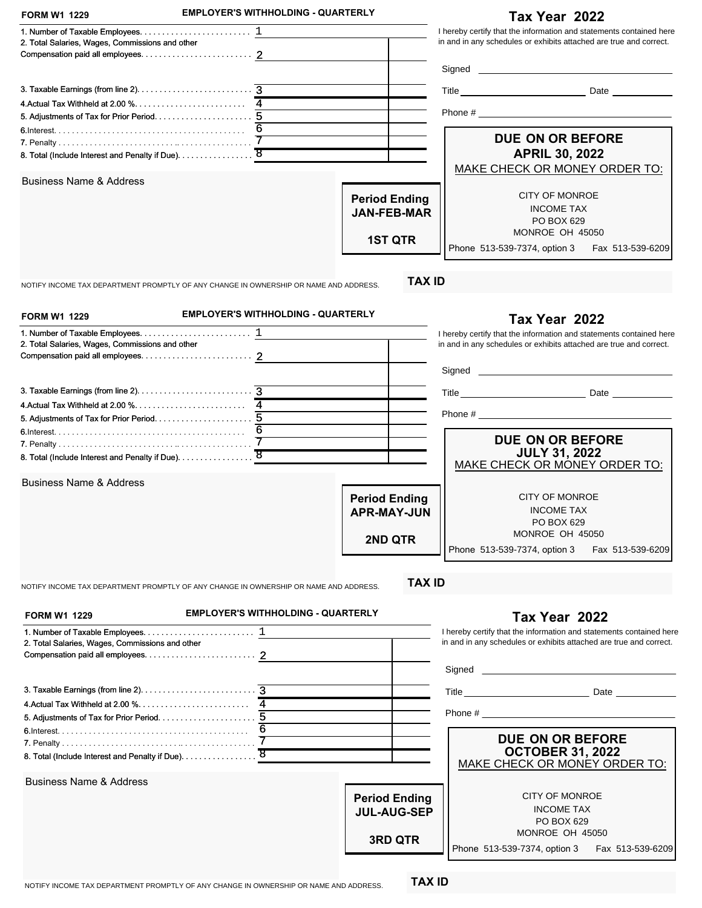| <b>FORM W1 1229</b>                                                                                                                          | <b>EMPLOYER'S WITHHOLDING - QUARTERLY</b>                                             |                                                              | Tax Year 2022                                                                                                                             |
|----------------------------------------------------------------------------------------------------------------------------------------------|---------------------------------------------------------------------------------------|--------------------------------------------------------------|-------------------------------------------------------------------------------------------------------------------------------------------|
| 2. Total Salaries, Wages, Commissions and other                                                                                              |                                                                                       |                                                              | I hereby certify that the information and statements contained here<br>in and in any schedules or exhibits attached are true and correct. |
|                                                                                                                                              |                                                                                       |                                                              |                                                                                                                                           |
|                                                                                                                                              |                                                                                       |                                                              |                                                                                                                                           |
|                                                                                                                                              |                                                                                       |                                                              |                                                                                                                                           |
|                                                                                                                                              |                                                                                       |                                                              |                                                                                                                                           |
|                                                                                                                                              |                                                                                       |                                                              | DUE ON OR BEFORE                                                                                                                          |
|                                                                                                                                              |                                                                                       |                                                              | <b>APRIL 30, 2022</b>                                                                                                                     |
| <b>Business Name &amp; Address</b>                                                                                                           |                                                                                       |                                                              | MAKE CHECK OR MONEY ORDER TO:                                                                                                             |
|                                                                                                                                              |                                                                                       | <b>Period Ending</b><br><b>JAN-FEB-MAR</b><br><b>1ST QTR</b> | <b>CITY OF MONROE</b><br><b>INCOME TAX</b><br>PO BOX 629<br>MONROE OH 45050<br>Phone 513-539-7374, option 3<br>Fax 513-539-6209           |
|                                                                                                                                              | NOTIFY INCOME TAX DEPARTMENT PROMPTLY OF ANY CHANGE IN OWNERSHIP OR NAME AND ADDRESS. | <b>TAX ID</b>                                                |                                                                                                                                           |
| <b>FORM W1 1229</b>                                                                                                                          | <b>EMPLOYER'S WITHHOLDING - QUARTERLY</b>                                             |                                                              | Tax Year 2022                                                                                                                             |
| 1. Number of Taxable Employees. $\dots\dots\dots\dots\dots\dots\dots\dots\dots\dots\dots$<br>2. Total Salaries, Wages, Commissions and other |                                                                                       |                                                              | I hereby certify that the information and statements contained here<br>in and in any schedules or exhibits attached are true and correct. |
|                                                                                                                                              |                                                                                       |                                                              |                                                                                                                                           |
|                                                                                                                                              |                                                                                       |                                                              |                                                                                                                                           |
|                                                                                                                                              |                                                                                       |                                                              |                                                                                                                                           |
|                                                                                                                                              |                                                                                       |                                                              |                                                                                                                                           |
|                                                                                                                                              |                                                                                       |                                                              |                                                                                                                                           |
|                                                                                                                                              |                                                                                       |                                                              | DUE ON OR BEFORE                                                                                                                          |
| 8. Total (Include Interest and Penalty if Due). 8                                                                                            |                                                                                       |                                                              | <b>JULY 31, 2022</b><br>MAKE CHECK OR MONEY ORDER TO:                                                                                     |
| <b>Business Name &amp; Address</b>                                                                                                           |                                                                                       |                                                              | <b>CITY OF MONROE</b>                                                                                                                     |
|                                                                                                                                              |                                                                                       | <b>Period Ending</b><br><b>APR-MAY-JUN</b>                   | <b>INCOME TAX</b>                                                                                                                         |
|                                                                                                                                              |                                                                                       |                                                              | PO BOX 629                                                                                                                                |
|                                                                                                                                              |                                                                                       | <b>2ND QTR</b>                                               | MONROE OH 45050                                                                                                                           |
|                                                                                                                                              |                                                                                       |                                                              | Phone 513-539-7374, option 3<br>Fax 513-539-6209                                                                                          |
|                                                                                                                                              | NOTIFY INCOME TAX DEPARTMENT PROMPTLY OF ANY CHANGE IN OWNERSHIP OR NAME AND ADDRESS. | <b>TAX ID</b>                                                |                                                                                                                                           |
| <b>FORM W1 1229</b>                                                                                                                          | <b>EMPLOYER'S WITHHOLDING - QUARTERLY</b>                                             |                                                              | Tax Year 2022                                                                                                                             |
| 1. Number of Taxable Employees. $\dots\dots\dots\dots\dots\dots\dots\dots\dots\dots$<br>2. Total Salaries, Wages, Commissions and other      |                                                                                       |                                                              | I hereby certify that the information and statements contained here<br>in and in any schedules or exhibits attached are true and correct. |
|                                                                                                                                              |                                                                                       |                                                              |                                                                                                                                           |
|                                                                                                                                              |                                                                                       |                                                              |                                                                                                                                           |
|                                                                                                                                              |                                                                                       |                                                              | Phone $\#$                                                                                                                                |
|                                                                                                                                              |                                                                                       |                                                              |                                                                                                                                           |
|                                                                                                                                              | 7                                                                                     |                                                              | DUE ON OR BEFORE<br><b>OCTOBER 31, 2022</b><br>MAKE CHECK OR MONEY ORDER TO:                                                              |
| <b>Business Name &amp; Address</b>                                                                                                           |                                                                                       |                                                              |                                                                                                                                           |
|                                                                                                                                              |                                                                                       | <b>Period Ending</b><br><b>JUL-AUG-SEP</b><br><b>3RD QTR</b> | <b>CITY OF MONROE</b><br><b>INCOME TAX</b><br>PO BOX 629<br>MONROE OH 45050                                                               |
|                                                                                                                                              |                                                                                       |                                                              | Phone 513-539-7374, option 3<br>Fax 513-539-6209                                                                                          |